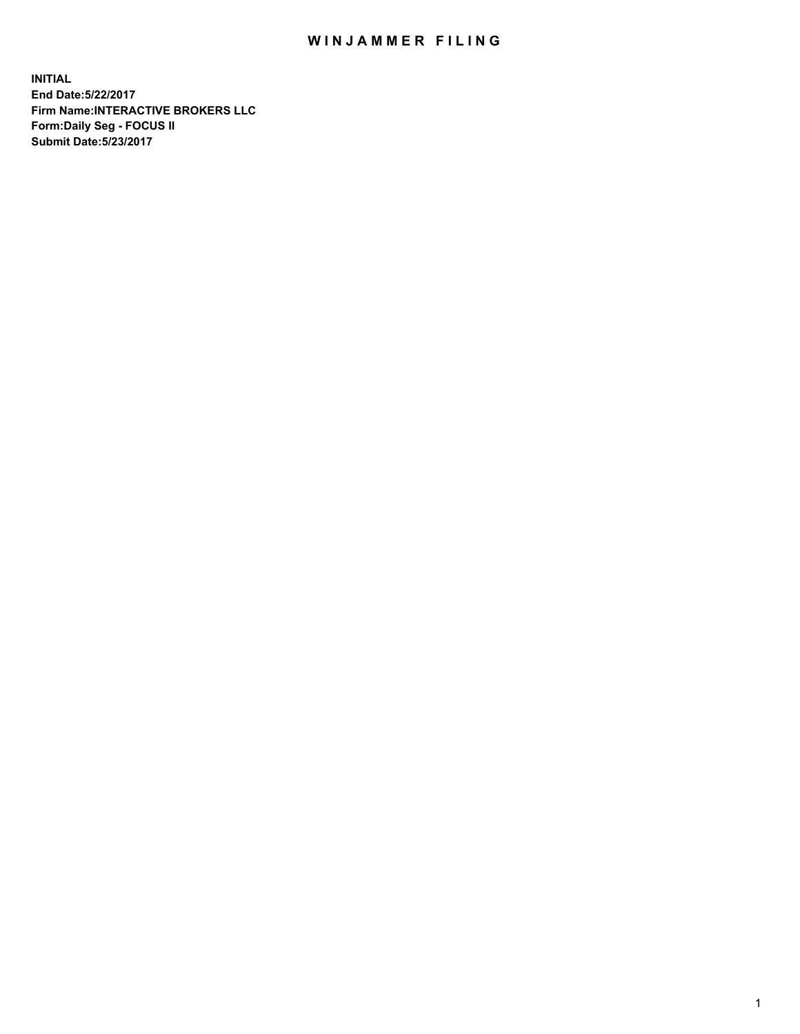## WIN JAMMER FILING

**INITIAL End Date:5/22/2017 Firm Name:INTERACTIVE BROKERS LLC Form:Daily Seg - FOCUS II Submit Date:5/23/2017**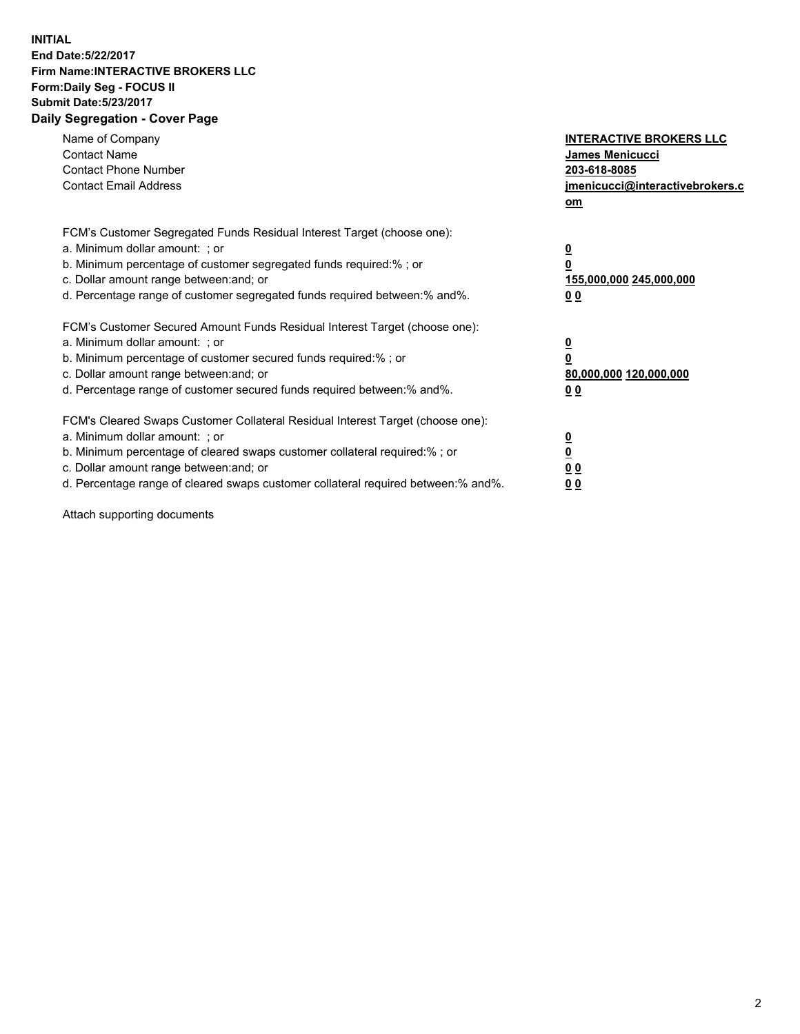## **INITIAL End Date:5/22/2017 Firm Name:INTERACTIVE BROKERS LLC Form:Daily Seg - FOCUS II Submit Date:5/23/2017 Daily Segregation - Cover Page**

| Name of Company<br><b>Contact Name</b><br><b>Contact Phone Number</b><br><b>Contact Email Address</b>                                                                                                                                                                                                                          | <b>INTERACTIVE BROKERS LLC</b><br>James Menicucci<br>203-618-8085<br>jmenicucci@interactivebrokers.c<br>om |
|--------------------------------------------------------------------------------------------------------------------------------------------------------------------------------------------------------------------------------------------------------------------------------------------------------------------------------|------------------------------------------------------------------------------------------------------------|
| FCM's Customer Segregated Funds Residual Interest Target (choose one):<br>a. Minimum dollar amount: ; or<br>b. Minimum percentage of customer segregated funds required:%; or<br>c. Dollar amount range between: and; or<br>d. Percentage range of customer segregated funds required between:% and%.                          | $\overline{\mathbf{0}}$<br>0<br>155,000,000 245,000,000<br>0 <sub>0</sub>                                  |
| FCM's Customer Secured Amount Funds Residual Interest Target (choose one):<br>a. Minimum dollar amount: ; or<br>b. Minimum percentage of customer secured funds required:%; or<br>c. Dollar amount range between: and; or<br>d. Percentage range of customer secured funds required between:% and%.                            | $\overline{\mathbf{0}}$<br>$\overline{\mathbf{0}}$<br>80,000,000 120,000,000<br>00                         |
| FCM's Cleared Swaps Customer Collateral Residual Interest Target (choose one):<br>a. Minimum dollar amount: ; or<br>b. Minimum percentage of cleared swaps customer collateral required:% ; or<br>c. Dollar amount range between: and; or<br>d. Percentage range of cleared swaps customer collateral required between:% and%. | $\overline{\mathbf{0}}$<br>$\overline{\mathbf{0}}$<br>0 <sub>0</sub><br><u>00</u>                          |

Attach supporting documents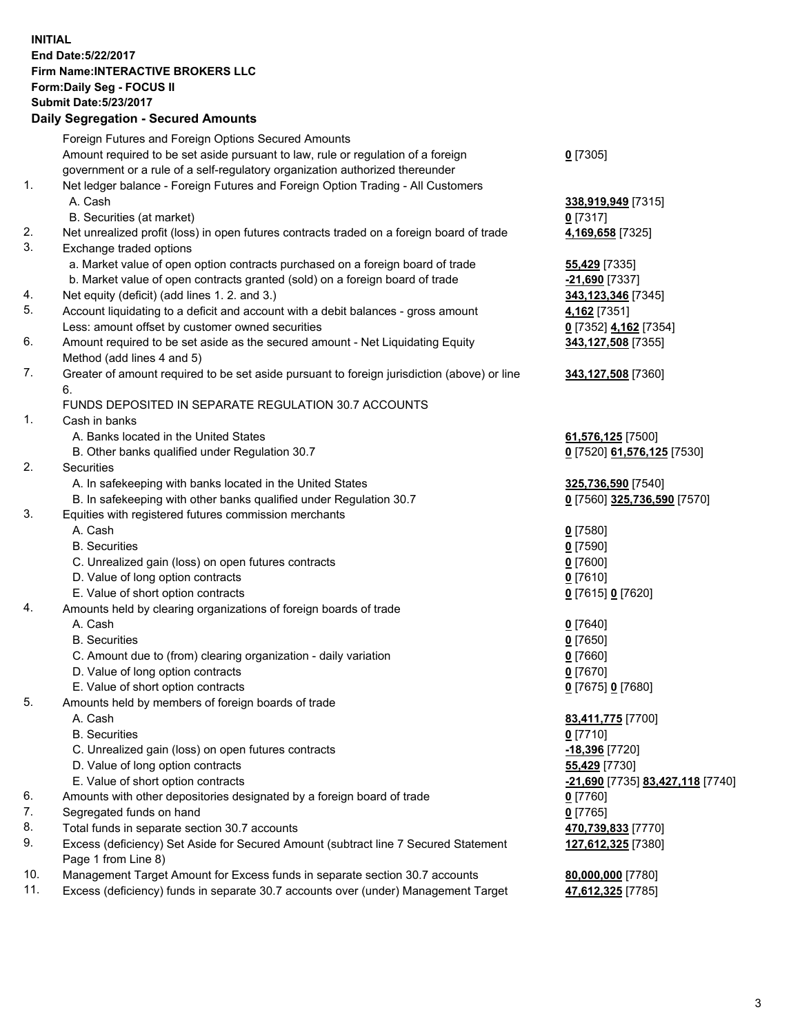## **INITIAL End Date:5/22/2017 Firm Name:INTERACTIVE BROKERS LLC Form:Daily Seg - FOCUS II Submit Date:5/23/2017**

|     | <b>Daily Segregation - Secured Amounts</b>                                                  |                                  |
|-----|---------------------------------------------------------------------------------------------|----------------------------------|
|     | Foreign Futures and Foreign Options Secured Amounts                                         |                                  |
|     | Amount required to be set aside pursuant to law, rule or regulation of a foreign            | $0$ [7305]                       |
|     | government or a rule of a self-regulatory organization authorized thereunder                |                                  |
| 1.  | Net ledger balance - Foreign Futures and Foreign Option Trading - All Customers             |                                  |
|     | A. Cash                                                                                     | 338,919,949 [7315]               |
|     | B. Securities (at market)                                                                   | $0$ [7317]                       |
| 2.  | Net unrealized profit (loss) in open futures contracts traded on a foreign board of trade   | 4,169,658 [7325]                 |
| 3.  | Exchange traded options                                                                     |                                  |
|     | a. Market value of open option contracts purchased on a foreign board of trade              | 55,429 [7335]                    |
|     | b. Market value of open contracts granted (sold) on a foreign board of trade                | -21,690 [7337]                   |
| 4.  | Net equity (deficit) (add lines 1.2. and 3.)                                                | 343,123,346 [7345]               |
| 5.  | Account liquidating to a deficit and account with a debit balances - gross amount           | 4,162 [7351]                     |
|     | Less: amount offset by customer owned securities                                            | 0 [7352] 4,162 [7354]            |
| 6.  | Amount required to be set aside as the secured amount - Net Liquidating Equity              | 343,127,508 [7355]               |
|     | Method (add lines 4 and 5)                                                                  |                                  |
| 7.  | Greater of amount required to be set aside pursuant to foreign jurisdiction (above) or line | 343,127,508 [7360]               |
|     | 6.                                                                                          |                                  |
|     | FUNDS DEPOSITED IN SEPARATE REGULATION 30.7 ACCOUNTS                                        |                                  |
| 1.  | Cash in banks                                                                               |                                  |
|     | A. Banks located in the United States                                                       | 61,576,125 [7500]                |
|     | B. Other banks qualified under Regulation 30.7                                              | 0 [7520] 61,576,125 [7530]       |
| 2.  | Securities                                                                                  |                                  |
|     | A. In safekeeping with banks located in the United States                                   | 325,736,590 [7540]               |
|     | B. In safekeeping with other banks qualified under Regulation 30.7                          | 0 [7560] 325,736,590 [7570]      |
| 3.  | Equities with registered futures commission merchants                                       |                                  |
|     | A. Cash                                                                                     | $0$ [7580]                       |
|     | <b>B.</b> Securities                                                                        | <u>0</u> [7590]                  |
|     | C. Unrealized gain (loss) on open futures contracts                                         | 0 [7600]                         |
|     | D. Value of long option contracts                                                           | $0$ [7610]                       |
|     | E. Value of short option contracts                                                          | 0 [7615] 0 [7620]                |
| 4.  | Amounts held by clearing organizations of foreign boards of trade                           |                                  |
|     | A. Cash                                                                                     | $0$ [7640]                       |
|     | <b>B.</b> Securities                                                                        | $0$ [7650]                       |
|     | C. Amount due to (from) clearing organization - daily variation                             | 0 [7660]                         |
|     | D. Value of long option contracts                                                           | $0$ [7670]                       |
|     | E. Value of short option contracts                                                          | 0 [7675] 0 [7680]                |
| 5.  | Amounts held by members of foreign boards of trade                                          |                                  |
|     | A. Cash                                                                                     | 83,411,775 [7700]                |
|     | <b>B.</b> Securities                                                                        | 0 [7710]                         |
|     | C. Unrealized gain (loss) on open futures contracts                                         | <u>-18,396</u> [7720]            |
|     | D. Value of long option contracts                                                           | 55,429 [7730]                    |
|     | E. Value of short option contracts                                                          | -21,690 [7735] 83,427,118 [7740] |
| 6.  | Amounts with other depositories designated by a foreign board of trade                      | $0$ [7760]                       |
| 7.  | Segregated funds on hand                                                                    | $0$ [7765]                       |
| 8.  | Total funds in separate section 30.7 accounts                                               | 470,739,833 [7770]               |
| 9.  | Excess (deficiency) Set Aside for Secured Amount (subtract line 7 Secured Statement         | 127,612,325 [7380]               |
|     | Page 1 from Line 8)                                                                         |                                  |
| 10. | Management Target Amount for Excess funds in separate section 30.7 accounts                 | 80,000,000 [7780]                |
| 11. | Excess (deficiency) funds in separate 30.7 accounts over (under) Management Target          | 47,612,325 [7785]                |
|     |                                                                                             |                                  |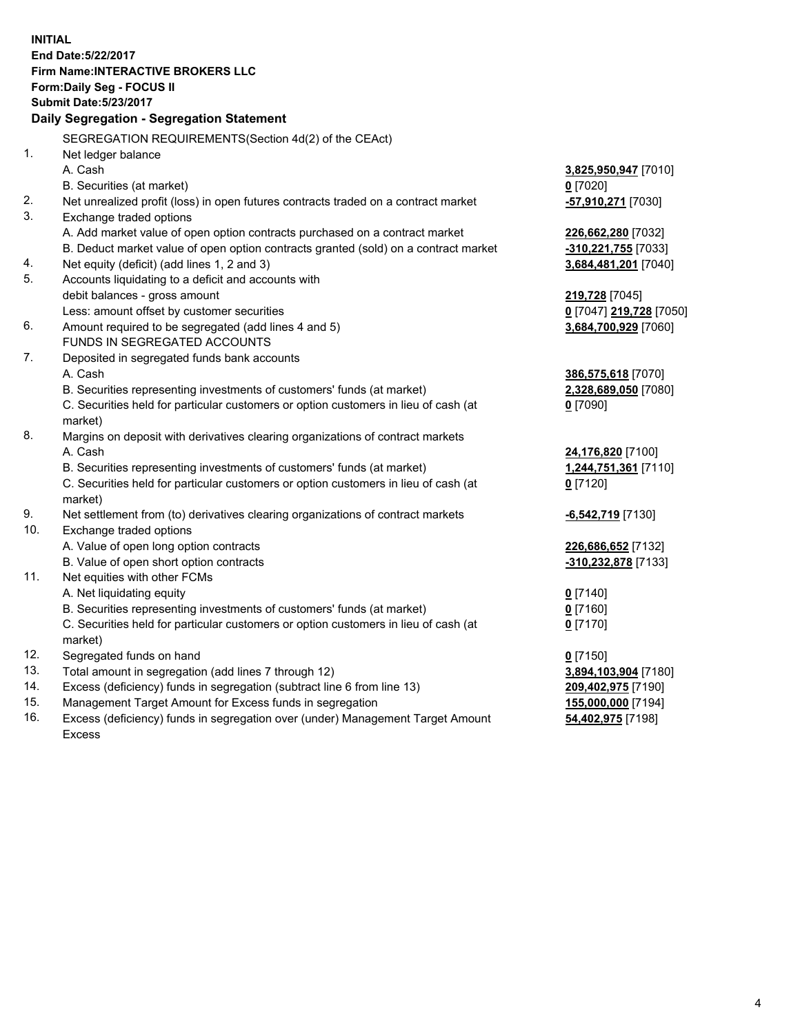**INITIAL End Date:5/22/2017 Firm Name:INTERACTIVE BROKERS LLC Form:Daily Seg - FOCUS II Submit Date:5/23/2017 Daily Segregation - Segregation Statement** SEGREGATION REQUIREMENTS(Section 4d(2) of the CEAct) 1. Net ledger balance A. Cash **3,825,950,947** [7010] B. Securities (at market) **0** [7020] 2. Net unrealized profit (loss) in open futures contracts traded on a contract market **-57,910,271** [7030] 3. Exchange traded options A. Add market value of open option contracts purchased on a contract market **226,662,280** [7032] B. Deduct market value of open option contracts granted (sold) on a contract market **-310,221,755** [7033] 4. Net equity (deficit) (add lines 1, 2 and 3) **3,684,481,201** [7040] 5. Accounts liquidating to a deficit and accounts with debit balances - gross amount **219,728** [7045] Less: amount offset by customer securities **0** [7047] **219,728** [7050] 6. Amount required to be segregated (add lines 4 and 5) **3,684,700,929** [7060] FUNDS IN SEGREGATED ACCOUNTS 7. Deposited in segregated funds bank accounts A. Cash **386,575,618** [7070] B. Securities representing investments of customers' funds (at market) **2,328,689,050** [7080] C. Securities held for particular customers or option customers in lieu of cash (at market) **0** [7090] 8. Margins on deposit with derivatives clearing organizations of contract markets A. Cash **24,176,820** [7100] B. Securities representing investments of customers' funds (at market) **1,244,751,361** [7110] C. Securities held for particular customers or option customers in lieu of cash (at market) **0** [7120] 9. Net settlement from (to) derivatives clearing organizations of contract markets **-6,542,719** [7130] 10. Exchange traded options A. Value of open long option contracts **226,686,652** [7132] B. Value of open short option contracts **-310,232,878** [7133] 11. Net equities with other FCMs A. Net liquidating equity **0** [7140] B. Securities representing investments of customers' funds (at market) **0** [7160] C. Securities held for particular customers or option customers in lieu of cash (at market) **0** [7170] 12. Segregated funds on hand **0** [7150] 13. Total amount in segregation (add lines 7 through 12) **3,894,103,904** [7180] 14. Excess (deficiency) funds in segregation (subtract line 6 from line 13) **209,402,975** [7190] 15. Management Target Amount for Excess funds in segregation **155,000,000** [7194]

16. Excess (deficiency) funds in segregation over (under) Management Target Amount Excess

**54,402,975** [7198]